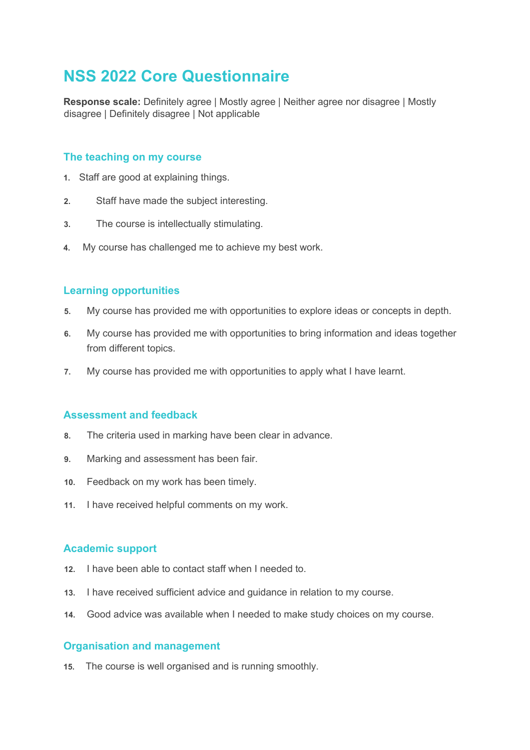## **NSS 2022 Core Questionnaire**

**Response scale:** Definitely agree | Mostly agree | Neither agree nor disagree | Mostly disagree | Definitely disagree | Not applicable

### **The teaching on my course**

- **1.** Staff are good at explaining things.
- **2.** Staff have made the subject interesting.
- **3.** The course is intellectually stimulating.
- **4.** My course has challenged me to achieve my best work.

#### **Learning opportunities**

- **5.** My course has provided me with opportunities to explore ideas or concepts in depth.
- **6.** My course has provided me with opportunities to bring information and ideas together from different topics.
- **7.** My course has provided me with opportunities to apply what I have learnt.

### **Assessment and feedback**

- **8.** The criteria used in marking have been clear in advance.
- **9.** Marking and assessment has been fair.
- **10.** Feedback on my work has been timely.
- **11.** I have received helpful comments on my work.

#### **Academic support**

- **12.** I have been able to contact staff when I needed to.
- **13.** I have received sufficient advice and guidance in relation to my course.
- **14.** Good advice was available when I needed to make study choices on my course.

#### **Organisation and management**

**15.** The course is well organised and is running smoothly.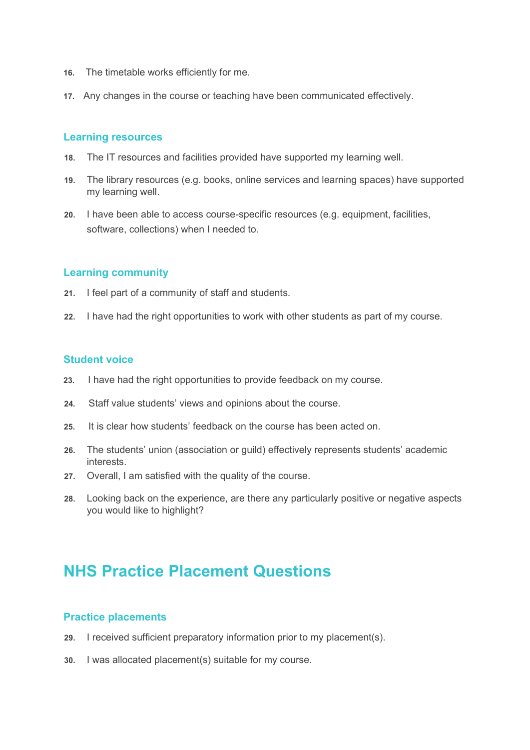- **16.** The timetable works efficiently for me.
- **17.** Any changes in the course or teaching have been communicated effectively.

#### **Learning resources**

- **18.** The IT resources and facilities provided have supported my learning well.
- **19.** The library resources (e.g. books, online services and learning spaces) have supported my learning well.
- **20.** I have been able to access course-specific resources (e.g. equipment, facilities, software, collections) when I needed to.

#### **Learning community**

- **21.** I feel part of a community of staff and students.
- **22.** I have had the right opportunities to work with other students as part of my course.

#### **Student voice**

- **23.** I have had the right opportunities to provide feedback on my course.
- **24.** Staff value students' views and opinions about the course.
- **25.** It is clear how students' feedback on the course has been acted on.
- **26.** The students' union (association or guild) effectively represents students' academic interests.
- **27.** Overall, I am satisfied with the quality of the course.
- **28.** Looking back on the experience, are there any particularly positive or negative aspects you would like to highlight?

## **NHS Practice Placement Questions**

#### **Practice placements**

- **29.** I received sufficient preparatory information prior to my placement(s).
- **30.** I was allocated placement(s) suitable for my course.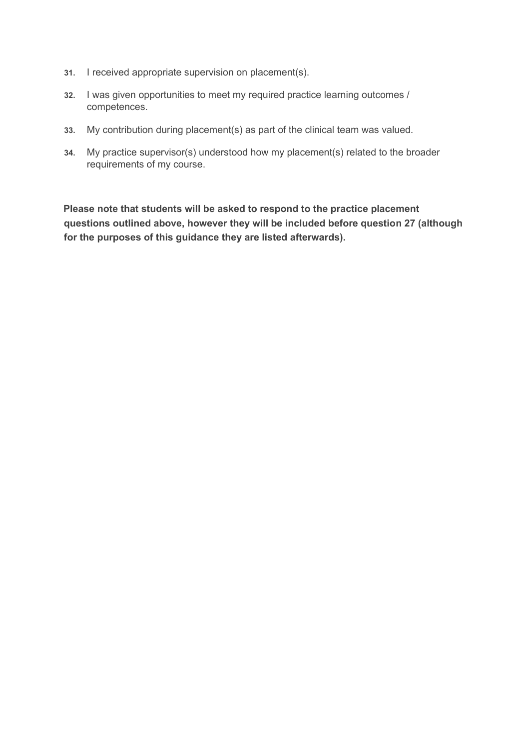- **31.** I received appropriate supervision on placement(s).
- **32.** I was given opportunities to meet my required practice learning outcomes / competences.
- **33.** My contribution during placement(s) as part of the clinical team was valued.
- **34.** My practice supervisor(s) understood how my placement(s) related to the broader requirements of my course.

**Please note that students will be asked to respond to the practice placement questions outlined above, however they will be included before question 27 (although for the purposes of this guidance they are listed afterwards).**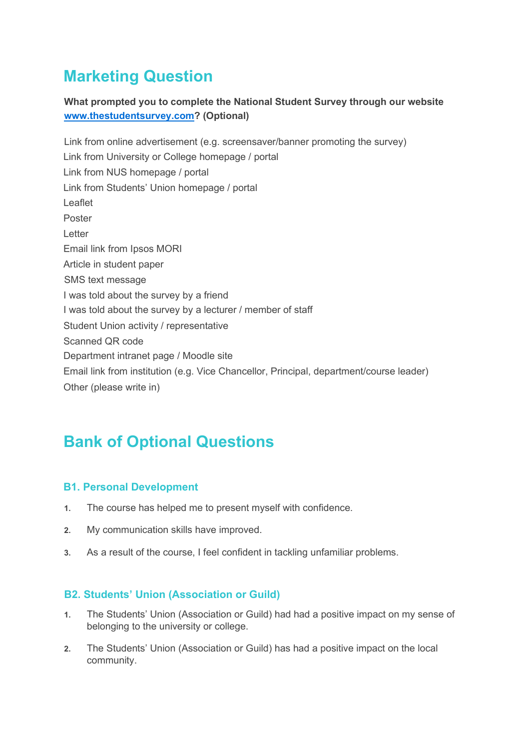# **Marketing Question**

## **What prompted you to complete the National Student Survey through our website [www.thestudentsurvey.com?](http://www.thestudentsurvey.com/) (Optional)**

Link from online advertisement (e.g. screensaver/banner promoting the survey) Link from University or College homepage / portal Link from NUS homepage / portal Link from Students' Union homepage / portal Leaflet Poster Letter Email link from Ipsos MORI Article in student paper SMS text message I was told about the survey by a friend I was told about the survey by a lecturer / member of staff Student Union activity / representative Scanned QR code Department intranet page / Moodle site Email link from institution (e.g. Vice Chancellor, Principal, department/course leader) Other (please write in)

# **Bank of Optional Questions**

## **B1. Personal Development**

- **1.** The course has helped me to present myself with confidence.
- **2.** My communication skills have improved.
- **3.** As a result of the course, I feel confident in tackling unfamiliar problems.

## **B2. Students' Union (Association or Guild)**

- **1.** The Students' Union (Association or Guild) had had a positive impact on my sense of belonging to the university or college.
- **2.** The Students' Union (Association or Guild) has had a positive impact on the local community.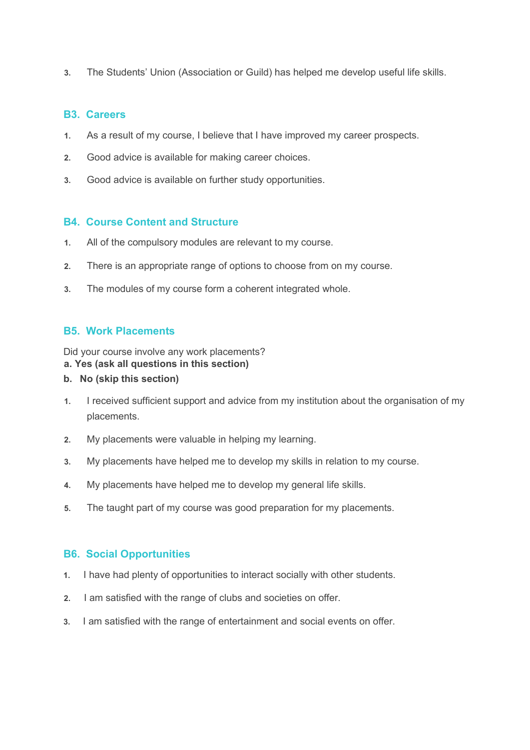**3.** The Students' Union (Association or Guild) has helped me develop useful life skills.

#### **B3. Careers**

- **1.** As a result of my course, I believe that I have improved my career prospects.
- **2.** Good advice is available for making career choices.
- **3.** Good advice is available on further study opportunities.

### **B4. Course Content and Structure**

- **1.** All of the compulsory modules are relevant to my course.
- **2.** There is an appropriate range of options to choose from on my course.
- **3.** The modules of my course form a coherent integrated whole.

## **B5. Work Placements**

Did your course involve any work placements?

#### **a. Yes (ask all questions in this section)**

- **b. No (skip this section)**
- **1.** I received sufficient support and advice from my institution about the organisation of my placements.
- **2.** My placements were valuable in helping my learning.
- **3.** My placements have helped me to develop my skills in relation to my course.
- **4.** My placements have helped me to develop my general life skills.
- **5.** The taught part of my course was good preparation for my placements.

### **B6. Social Opportunities**

- **1.** I have had plenty of opportunities to interact socially with other students.
- **2.** I am satisfied with the range of clubs and societies on offer.
- **3.** I am satisfied with the range of entertainment and social events on offer.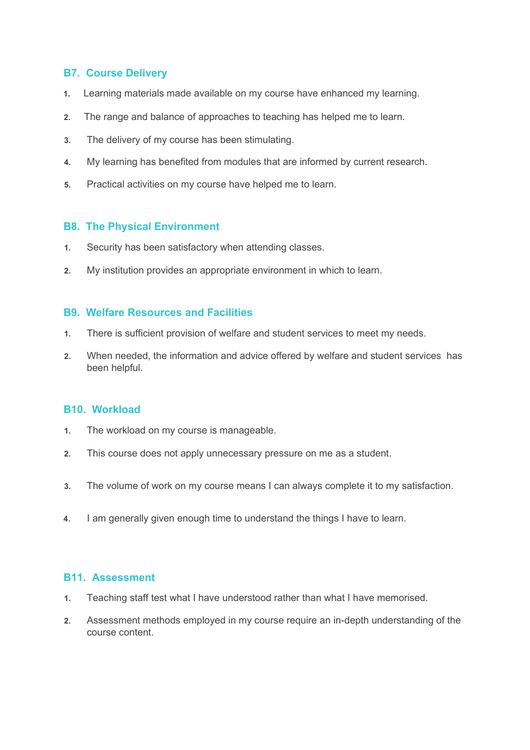### **B7. Course Delivery**

- **1.** Learning materials made available on my course have enhanced my learning.
- **2.** The range and balance of approaches to teaching has helped me to learn.
- **3.** The delivery of my course has been stimulating.
- **4.** My learning has benefited from modules that are informed by current research.
- **5.** Practical activities on my course have helped me to learn.

#### **B8. The Physical Environment**

- **1.** Security has been satisfactory when attending classes.
- **2.** My institution provides an appropriate environment in which to learn.

#### **B9. Welfare Resources and Facilities**

- **1.** There is sufficient provision of welfare and student services to meet my needs.
- **2.** When needed, the information and advice offered by welfare and student services has been helpful.

#### **B10. Workload**

- **1.** The workload on my course is manageable.
- **2.** This course does not apply unnecessary pressure on me as a student.
- **3.** The volume of work on my course means I can always complete it to my satisfaction.
- **4**. I am generally given enough time to understand the things I have to learn.

#### **B11. Assessment**

- **1.** Teaching staff test what I have understood rather than what I have memorised.
- **2.** Assessment methods employed in my course require an in-depth understanding of the course content.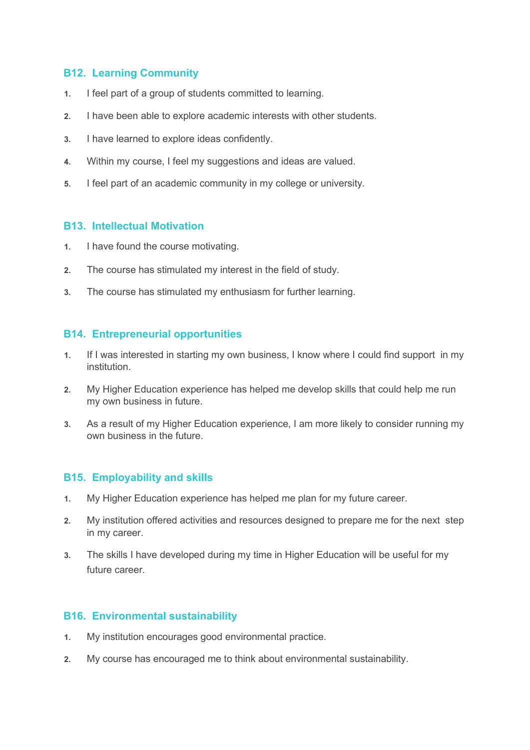## **B12. Learning Community**

- **1.** I feel part of a group of students committed to learning.
- **2.** I have been able to explore academic interests with other students.
- **3.** I have learned to explore ideas confidently.
- **4.** Within my course, I feel my suggestions and ideas are valued.
- **5.** I feel part of an academic community in my college or university.

#### **B13. Intellectual Motivation**

- **1.** I have found the course motivating.
- **2.** The course has stimulated my interest in the field of study.
- **3.** The course has stimulated my enthusiasm for further learning.

#### **B14. Entrepreneurial opportunities**

- **1.** If I was interested in starting my own business, I know where I could find support in my institution.
- **2.** My Higher Education experience has helped me develop skills that could help me run my own business in future.
- **3.** As a result of my Higher Education experience, I am more likely to consider running my own business in the future.

### **B15. Employability and skills**

- **1.** My Higher Education experience has helped me plan for my future career.
- **2.** My institution offered activities and resources designed to prepare me for the next step in my career.
- **3.** The skills I have developed during my time in Higher Education will be useful for my future career.

### **B16. Environmental sustainability**

- **1.** My institution encourages good environmental practice.
- **2.** My course has encouraged me to think about environmental sustainability.